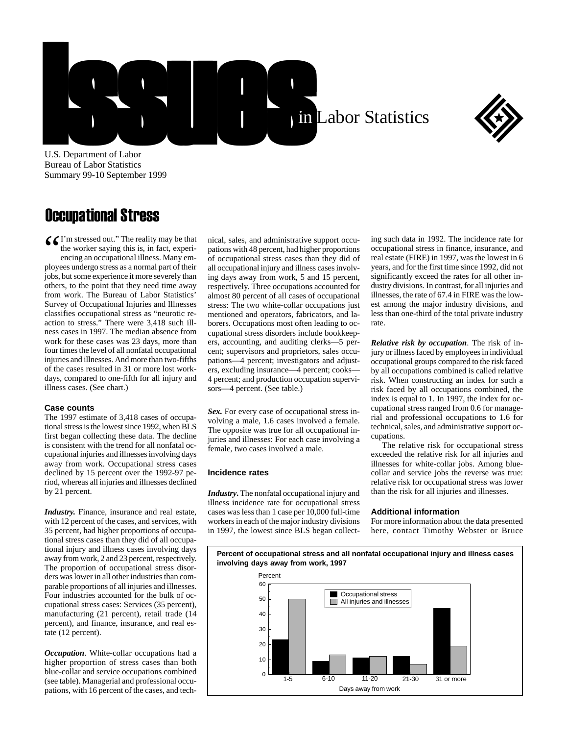



U.S. Department of Labor Bureau of Labor Statistics Summary 99-10 September 1999

## Occupational Stress

C I'm stressed out." The reality may be that<br>the worker saying this is, in fact, experi-<br>encing an occupational illness. Many em-<br>ployees undergo stress as a normal part of their the worker saying this is, in fact, experiencing an occupational illness. Many employees undergo stress as a normal part of their jobs, but some experience it more severely than others, to the point that they need time away from work. The Bureau of Labor Statistics' Survey of Occupational Injuries and Illnesses classifies occupational stress as "neurotic reaction to stress." There were 3,418 such illness cases in 1997. The median absence from work for these cases was 23 days, more than four times the level of all nonfatal occupational injuries and illnesses. And more than two-fifths of the cases resulted in 31 or more lost workdays, compared to one-fifth for all injury and illness cases. (See chart.)

## **Case counts**

The 1997 estimate of 3,418 cases of occupational stress is the lowest since 1992, when BLS first began collecting these data. The decline is consistent with the trend for all nonfatal occupational injuries and illnesses involving days away from work. Occupational stress cases declined by 15 percent over the 1992-97 period, whereas all injuries and illnesses declined by 21 percent.

*Industry.* Finance, insurance and real estate, with 12 percent of the cases, and services, with 35 percent, had higher proportions of occupational stress cases than they did of all occupational injury and illness cases involving days away from work, 2 and 23 percent, respectively. The proportion of occupational stress disorders was lower in all other industries than comparable proportions of all injuries and illnesses. Four industries accounted for the bulk of occupational stress cases: Services (35 percent), manufacturing (21 percent), retail trade (14 percent), and finance, insurance, and real estate (12 percent).

*Occupation*. White-collar occupations had a higher proportion of stress cases than both blue-collar and service occupations combined (see table). Managerial and professional occupations, with 16 percent of the cases, and technical, sales, and administrative support occupations with 48 percent, had higher proportions of occupational stress cases than they did of all occupational injury and illness cases involving days away from work, 5 and 15 percent, respectively. Three occupations accounted for almost 80 percent of all cases of occupational stress: The two white-collar occupations just mentioned and operators, fabricators, and laborers. Occupations most often leading to occupational stress disorders include bookkeepers, accounting, and auditing clerks—5 percent; supervisors and proprietors, sales occupations—4 percent; investigators and adjusters, excluding insurance—4 percent; cooks— 4 percent; and production occupation supervisors—4 percent. (See table.)

*Sex.* For every case of occupational stress involving a male, 1.6 cases involved a female. The opposite was true for all occupational injuries and illnesses: For each case involving a female, two cases involved a male.

## **Incidence rates**

*Industry***.** The nonfatal occupational injury and illness incidence rate for occupational stress cases was less than 1 case per 10,000 full-time workers in each of the major industry divisions in 1997, the lowest since BLS began collecting such data in 1992. The incidence rate for occupational stress in finance, insurance, and real estate (FIRE) in 1997, was the lowest in 6 years, and for the first time since 1992, did not significantly exceed the rates for all other industry divisions. In contrast, for all injuries and illnesses, the rate of 67.4 in FIRE was the lowest among the major industry divisions, and less than one-third of the total private industry rate.

*Relative risk by occupation*. The risk of injury or illness faced by employees in individual occupational groups compared to the risk faced by all occupations combined is called relative risk. When constructing an index for such a risk faced by all occupations combined, the index is equal to 1. In 1997, the index for occupational stress ranged from 0.6 for managerial and professional occupations to 1.6 for technical, sales, and administrative support occupations.

The relative risk for occupational stress exceeded the relative risk for all injuries and illnesses for white-collar jobs. Among bluecollar and service jobs the reverse was true: relative risk for occupational stress was lower than the risk for all injuries and illnesses.

## **Additional information**

For more information about the data presented here, contact Timothy Webster or Bruce

**Percent of occupational stress and all nonfatal occupational injury and illness cases involving days away from work, 1997** Percent